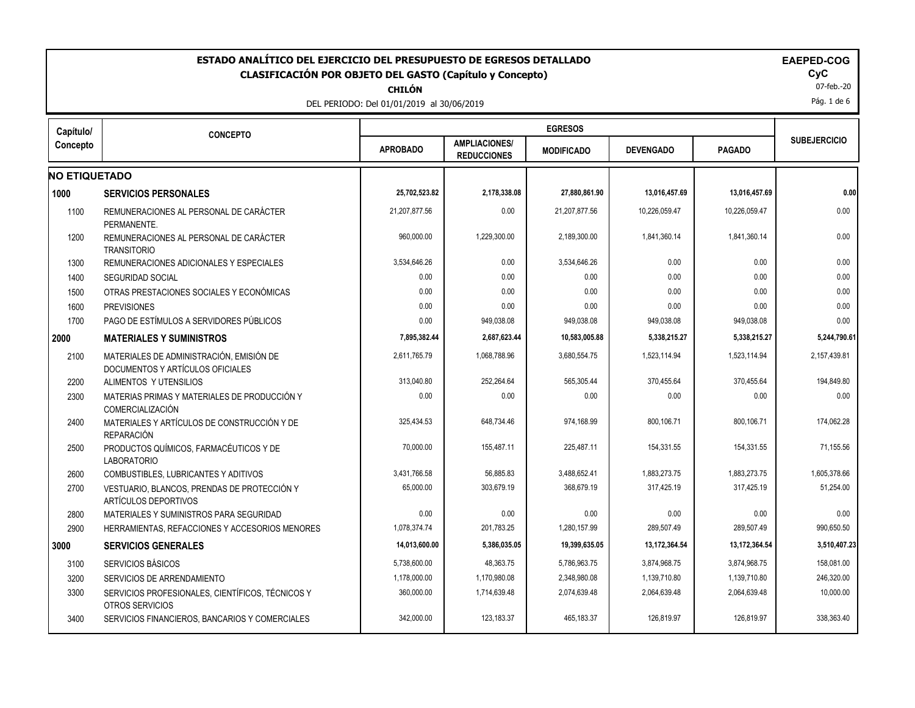| ESTADO ANALÍTICO DEL EJERCICIO DEL PRESUPUESTO DE EGRESOS DETALLADO<br><b>EAEPED-COG</b><br><b>CyC</b><br><b>CLASIFICACIÓN POR OBJETO DEL GASTO (Capítulo y Concepto)</b><br>07-feb.-20<br><b>CHILÓN</b><br>Pág. 1 de 6<br>DEL PERIODO: Del 01/01/2019 al 30/06/2019 |                                                                              |                 |                                            |                   |                  |               |                     |  |  |  |
|----------------------------------------------------------------------------------------------------------------------------------------------------------------------------------------------------------------------------------------------------------------------|------------------------------------------------------------------------------|-----------------|--------------------------------------------|-------------------|------------------|---------------|---------------------|--|--|--|
| Capítulo/                                                                                                                                                                                                                                                            | <b>CONCEPTO</b>                                                              |                 |                                            | <b>EGRESOS</b>    |                  |               |                     |  |  |  |
| Concepto                                                                                                                                                                                                                                                             |                                                                              | <b>APROBADO</b> | <b>AMPLIACIONES/</b><br><b>REDUCCIONES</b> | <b>MODIFICADO</b> | <b>DEVENGADO</b> | <b>PAGADO</b> | <b>SUBEJERCICIO</b> |  |  |  |
| <b>NO ETIQUETADO</b>                                                                                                                                                                                                                                                 |                                                                              |                 |                                            |                   |                  |               |                     |  |  |  |
| 1000                                                                                                                                                                                                                                                                 | <b>SERVICIOS PERSONALES</b>                                                  | 25,702,523.82   | 2,178,338.08                               | 27,880,861.90     | 13,016,457.69    | 13,016,457.69 | 0.00                |  |  |  |
| 1100                                                                                                                                                                                                                                                                 | REMUNERACIONES AL PERSONAL DE CARÁCTER<br>PERMANENTE.                        | 21.207.877.56   | 0.00                                       | 21.207.877.56     | 10.226.059.47    | 10.226.059.47 | 0.00                |  |  |  |
| 1200                                                                                                                                                                                                                                                                 | REMUNERACIONES AL PERSONAL DE CARÁCTER<br><b>TRANSITORIO</b>                 | 960.000.00      | 1,229,300.00                               | 2.189.300.00      | 1.841.360.14     | 1,841,360.14  | 0.00                |  |  |  |
| 1300                                                                                                                                                                                                                                                                 | REMUNERACIONES ADICIONALES Y ESPECIALES                                      | 3,534,646.26    | 0.00                                       | 3.534.646.26      | 0.00             | 0.00          | 0.00                |  |  |  |
| 1400                                                                                                                                                                                                                                                                 | <b>SEGURIDAD SOCIAL</b>                                                      | 0.00            | 0.00                                       | 0.00              | 0.00             | 0.00          | 0.00                |  |  |  |
| 1500                                                                                                                                                                                                                                                                 | OTRAS PRESTACIONES SOCIALES Y ECONÓMICAS                                     | 0.00            | 0.00                                       | 0.00              | 0.00             | 0.00          | 0.00                |  |  |  |
| 1600                                                                                                                                                                                                                                                                 | <b>PREVISIONES</b>                                                           | 0.00            | 0.00                                       | 0.00              | 0.00             | 0.00          | 0.00                |  |  |  |
| 1700                                                                                                                                                                                                                                                                 | PAGO DE ESTÍMULOS A SERVIDORES PÚBLICOS                                      | 0.00            | 949,038.08                                 | 949,038.08        | 949,038.08       | 949,038.08    | 0.00                |  |  |  |
| 2000                                                                                                                                                                                                                                                                 | <b>MATERIALES Y SUMINISTROS</b>                                              | 7,895,382.44    | 2,687,623.44                               | 10,583,005.88     | 5,338,215.27     | 5,338,215.27  | 5,244,790.61        |  |  |  |
| 2100                                                                                                                                                                                                                                                                 | MATERIALES DE ADMINISTRACIÓN. EMISIÓN DE<br>DOCUMENTOS Y ARTÍCULOS OFICIALES | 2,611,765.79    | 1,068,788.96                               | 3,680,554.75      | 1,523,114.94     | 1,523,114.94  | 2,157,439.81        |  |  |  |
| 2200                                                                                                                                                                                                                                                                 | ALIMENTOS Y UTENSILIOS                                                       | 313,040.80      | 252,264.64                                 | 565,305.44        | 370,455.64       | 370,455.64    | 194,849.80          |  |  |  |
| 2300                                                                                                                                                                                                                                                                 | MATERIAS PRIMAS Y MATERIALES DE PRODUCCIÓN Y<br>COMERCIALIZACIÓN             | 0.00            | 0.00                                       | 0.00              | 0.00             | 0.00          | 0.00                |  |  |  |
| 2400                                                                                                                                                                                                                                                                 | MATERIALES Y ARTÍCULOS DE CONSTRUCCIÓN Y DE<br><b>REPARACIÓN</b>             | 325.434.53      | 648.734.46                                 | 974.168.99        | 800,106.71       | 800,106.71    | 174,062.28          |  |  |  |
| 2500                                                                                                                                                                                                                                                                 | PRODUCTOS QUÍMICOS, FARMACÉUTICOS Y DE<br><b>LABORATORIO</b>                 | 70,000.00       | 155,487.11                                 | 225,487.11        | 154,331.55       | 154,331.55    | 71,155.56           |  |  |  |
| 2600                                                                                                                                                                                                                                                                 | COMBUSTIBLES, LUBRICANTES Y ADITIVOS                                         | 3,431,766.58    | 56,885.83                                  | 3,488,652.41      | 1,883,273.75     | 1,883,273.75  | 1,605,378.66        |  |  |  |
| 2700                                                                                                                                                                                                                                                                 | VESTUARIO, BLANCOS, PRENDAS DE PROTECCIÓN Y<br>ARTÍCULOS DEPORTIVOS          | 65,000.00       | 303,679.19                                 | 368,679.19        | 317,425.19       | 317,425.19    | 51,254.00           |  |  |  |
| 2800                                                                                                                                                                                                                                                                 | MATERIALES Y SUMINISTROS PARA SEGURIDAD                                      | 0.00            | 0.00                                       | 0.00              | 0.00             | 0.00          | 0.00                |  |  |  |
| 2900                                                                                                                                                                                                                                                                 | HERRAMIENTAS, REFACCIONES Y ACCESORIOS MENORES                               | 1,078,374.74    | 201,783.25                                 | 1,280,157.99      | 289,507.49       | 289,507.49    | 990,650.50          |  |  |  |
|                                                                                                                                                                                                                                                                      | <b>SERVICIOS GENERALES</b>                                                   | 14,013,600.00   | 5,386,035.05                               | 19,399,635.05     | 13,172,364.54    | 13,172,364.54 | 3,510,407.23        |  |  |  |
| 3100                                                                                                                                                                                                                                                                 | SERVICIOS BÁSICOS                                                            | 5,738,600.00    | 48,363.75                                  | 5,786,963.75      | 3,874,968.75     | 3,874,968.75  | 158,081.00          |  |  |  |
| 3200                                                                                                                                                                                                                                                                 | SERVICIOS DE ARRENDAMIENTO                                                   | 1,178,000.00    | 1,170,980.08                               | 2,348,980.08      | 1,139,710.80     | 1,139,710.80  | 246,320.00          |  |  |  |
| 3300                                                                                                                                                                                                                                                                 | SERVICIOS PROFESIONALES, CIENTÍFICOS, TÉCNICOS Y<br>OTROS SERVICIOS          | 360,000.00      | 1,714,639.48                               | 2,074,639.48      | 2,064,639.48     | 2,064,639.48  | 10,000.00           |  |  |  |
| 3400                                                                                                                                                                                                                                                                 | SERVICIOS FINANCIEROS, BANCARIOS Y COMERCIALES                               | 342,000.00      | 123, 183. 37                               | 465,183.37        | 126,819.97       | 126,819.97    | 338,363.40          |  |  |  |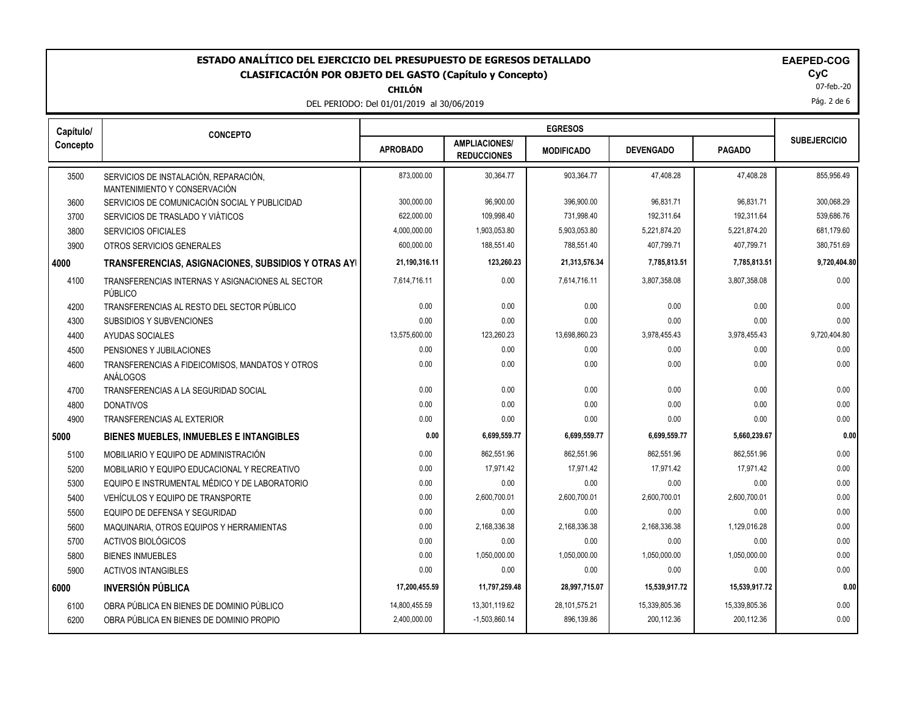**CHILÓN**

DEL PERIODO: Del 01/01/2019 al 30/06/2019

 $\mathbf{Cyc}$ <br> $07$ -feb.-20

Pág. 2 de 6

| Capítulo/ | <b>CONCEPTO</b>                                                       |                 |                                            | <b>EGRESOS</b>    |                  |               |                     |  |
|-----------|-----------------------------------------------------------------------|-----------------|--------------------------------------------|-------------------|------------------|---------------|---------------------|--|
| Concepto  |                                                                       | <b>APROBADO</b> | <b>AMPLIACIONES/</b><br><b>REDUCCIONES</b> | <b>MODIFICADO</b> | <b>DEVENGADO</b> | <b>PAGADO</b> | <b>SUBEJERCICIO</b> |  |
| 3500      | SERVICIOS DE INSTALACIÓN, REPARACIÓN,<br>MANTENIMIENTO Y CONSERVACIÓN | 873,000.00      | 30,364.77                                  | 903,364.77        | 47,408.28        | 47,408.28     | 855,956.49          |  |
| 3600      | SERVICIOS DE COMUNICACIÓN SOCIAL Y PUBLICIDAD                         | 300,000.00      | 96,900.00                                  | 396,900.00        | 96,831.71        | 96,831.71     | 300,068.29          |  |
| 3700      | SERVICIOS DE TRASLADO Y VIÁTICOS                                      | 622,000.00      | 109,998.40                                 | 731,998.40        | 192,311.64       | 192,311.64    | 539,686.76          |  |
| 3800      | <b>SERVICIOS OFICIALES</b>                                            | 4,000,000.00    | 1,903,053.80                               | 5,903,053.80      | 5,221,874.20     | 5,221,874.20  | 681,179.60          |  |
| 3900      | OTROS SERVICIOS GENERALES                                             | 600,000.00      | 188,551.40                                 | 788,551.40        | 407,799.71       | 407,799.71    | 380,751.69          |  |
| 4000      | TRANSFERENCIAS, ASIGNACIONES, SUBSIDIOS Y OTRAS AYI                   | 21,190,316.11   | 123,260.23                                 | 21,313,576.34     | 7,785,813.51     | 7,785,813.51  | 9,720,404.80        |  |
| 4100      | TRANSFERENCIAS INTERNAS Y ASIGNACIONES AL SECTOR<br>PÚBLICO           | 7,614,716.11    | 0.00                                       | 7,614,716.11      | 3,807,358.08     | 3,807,358.08  | 0.00                |  |
| 4200      | TRANSFERENCIAS AL RESTO DEL SECTOR PÚBLICO                            | 0.00            | 0.00                                       | 0.00              | 0.00             | 0.00          | 0.00                |  |
| 4300      | SUBSIDIOS Y SUBVENCIONES                                              | 0.00            | 0.00                                       | 0.00              | 0.00             | 0.00          | 0.00                |  |
| 4400      | AYUDAS SOCIALES                                                       | 13,575,600.00   | 123,260.23                                 | 13,698,860.23     | 3,978,455.43     | 3,978,455.43  | 9,720,404.80        |  |
| 4500      | PENSIONES Y JUBILACIONES                                              | 0.00            | 0.00                                       | 0.00              | 0.00             | 0.00          | 0.00                |  |
| 4600      | TRANSFERENCIAS A FIDEICOMISOS, MANDATOS Y OTROS<br>ANÁLOGOS           | 0.00            | 0.00                                       | 0.00              | 0.00             | 0.00          | 0.00                |  |
| 4700      | TRANSFERENCIAS A LA SEGURIDAD SOCIAL                                  | 0.00            | 0.00                                       | 0.00              | 0.00             | 0.00          | 0.00                |  |
| 4800      | <b>DONATIVOS</b>                                                      | 0.00            | 0.00                                       | 0.00              | 0.00             | 0.00          | 0.00                |  |
| 4900      | <b>TRANSFERENCIAS AL EXTERIOR</b>                                     | 0.00            | 0.00                                       | 0.00              | 0.00             | 0.00          | 0.00                |  |
| 5000      | <b>BIENES MUEBLES, INMUEBLES E INTANGIBLES</b>                        | 0.00            | 6,699,559.77                               | 6,699,559.77      | 6,699,559.77     | 5,660,239.67  | 0.00                |  |
| 5100      | MOBILIARIO Y EQUIPO DE ADMINISTRACIÓN                                 | 0.00            | 862,551.96                                 | 862,551.96        | 862,551.96       | 862,551.96    | 0.00                |  |
| 5200      | MOBILIARIO Y EQUIPO EDUCACIONAL Y RECREATIVO                          | 0.00            | 17,971.42                                  | 17,971.42         | 17,971.42        | 17,971.42     | 0.00                |  |
| 5300      | EQUIPO E INSTRUMENTAL MÉDICO Y DE LABORATORIO                         | 0.00            | 0.00                                       | 0.00              | 0.00             | 0.00          | 0.00                |  |
| 5400      | VEHÍCULOS Y EQUIPO DE TRANSPORTE                                      | 0.00            | 2,600,700.01                               | 2,600,700.01      | 2,600,700.01     | 2,600,700.01  | 0.00                |  |
| 5500      | EQUIPO DE DEFENSA Y SEGURIDAD                                         | 0.00            | 0.00                                       | 0.00              | 0.00             | 0.00          | 0.00                |  |
| 5600      | MAQUINARIA, OTROS EQUIPOS Y HERRAMIENTAS                              | 0.00            | 2,168,336.38                               | 2,168,336.38      | 2,168,336.38     | 1,129,016.28  | 0.00                |  |
| 5700      | ACTIVOS BIOLÓGICOS                                                    | 0.00            | 0.00                                       | 0.00              | 0.00             | 0.00          | 0.00                |  |
| 5800      | <b>BIENES INMUEBLES</b>                                               | 0.00            | 1,050,000.00                               | 1,050,000.00      | 1,050,000.00     | 1,050,000.00  | 0.00                |  |
| 5900      | <b>ACTIVOS INTANGIBLES</b>                                            | 0.00            | 0.00                                       | 0.00              | 0.00             | 0.00          | 0.00                |  |
| 6000      | <b>INVERSIÓN PÚBLICA</b>                                              | 17,200,455.59   | 11,797,259.48                              | 28,997,715.07     | 15,539,917.72    | 15,539,917.72 | 0.00                |  |
| 6100      | OBRA PÚBLICA EN BIENES DE DOMINIO PÚBLICO                             | 14,800,455.59   | 13,301,119.62                              | 28,101,575.21     | 15,339,805.36    | 15,339,805.36 | 0.00                |  |
| 6200      | OBRA PÚBLICA EN BIENES DE DOMINIO PROPIO                              | 2,400,000.00    | $-1,503,860.14$                            | 896,139.86        | 200,112.36       | 200,112.36    | 0.00                |  |
|           |                                                                       |                 |                                            |                   |                  |               |                     |  |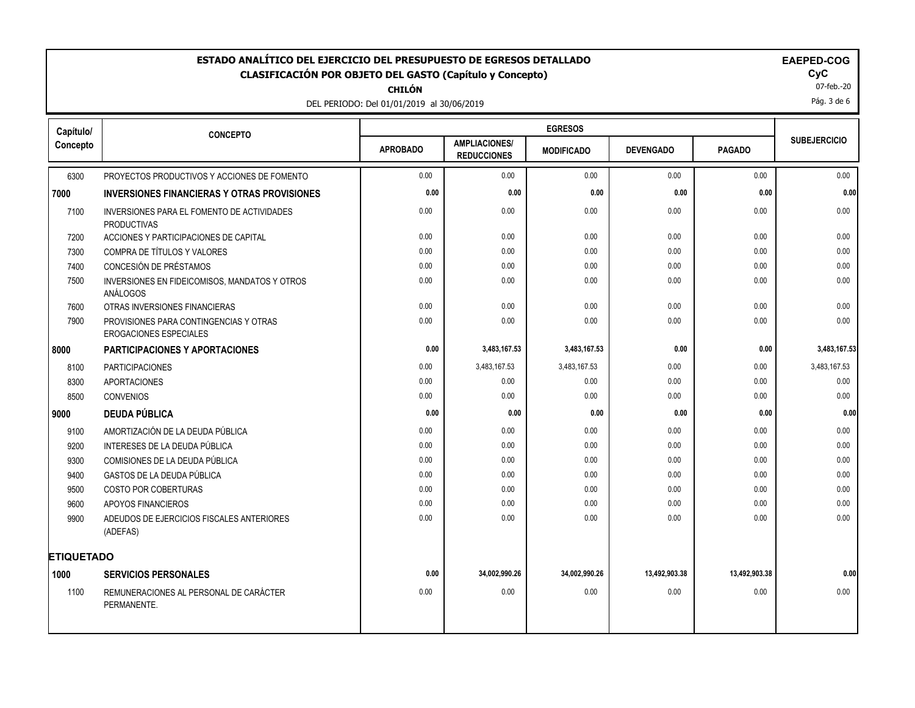**CHILÓN**

DEL PERIODO: Del 01/01/2019 al 30/06/2019

| EAEPEL |  |
|--------|--|
|        |  |

07-feb.-20

Pág. 3 de 6

| Capítulo/         | <b>CONCEPTO</b>                                                         |                 |                                            | <b>EGRESOS</b>    |                  |               |                     |  |  |  |
|-------------------|-------------------------------------------------------------------------|-----------------|--------------------------------------------|-------------------|------------------|---------------|---------------------|--|--|--|
| Concepto          |                                                                         | <b>APROBADO</b> | <b>AMPLIACIONES/</b><br><b>REDUCCIONES</b> | <b>MODIFICADO</b> | <b>DEVENGADO</b> | <b>PAGADO</b> | <b>SUBEJERCICIO</b> |  |  |  |
| 6300              | PROYECTOS PRODUCTIVOS Y ACCIONES DE FOMENTO                             | 0.00            | 0.00                                       | 0.00              | 0.00             | 0.00          | 0.00                |  |  |  |
| 7000              | <b>INVERSIONES FINANCIERAS Y OTRAS PROVISIONES</b>                      | 0.00            | 0.00                                       | 0.00              | 0.00             | 0.00          | 0.00                |  |  |  |
| 7100              | INVERSIONES PARA EL FOMENTO DE ACTIVIDADES<br><b>PRODUCTIVAS</b>        | 0.00            | 0.00                                       | 0.00              | 0.00             | 0.00          | 0.00                |  |  |  |
| 7200              | ACCIONES Y PARTICIPACIONES DE CAPITAL                                   | 0.00            | 0.00                                       | 0.00              | 0.00             | 0.00          | 0.00                |  |  |  |
| 7300              | COMPRA DE TÍTULOS Y VALORES                                             | 0.00            | 0.00                                       | 0.00              | 0.00             | 0.00          | 0.00                |  |  |  |
| 7400              | CONCESIÓN DE PRÉSTAMOS                                                  | 0.00            | 0.00                                       | 0.00              | 0.00             | 0.00          | 0.00                |  |  |  |
| 7500              | INVERSIONES EN FIDEICOMISOS, MANDATOS Y OTROS<br>ANÁLOGOS               | 0.00            | 0.00                                       | 0.00              | 0.00             | 0.00          | 0.00                |  |  |  |
| 7600              | OTRAS INVERSIONES FINANCIERAS                                           | 0.00            | 0.00                                       | 0.00              | 0.00             | 0.00          | 0.00                |  |  |  |
| 7900              | PROVISIONES PARA CONTINGENCIAS Y OTRAS<br><b>EROGACIONES ESPECIALES</b> | 0.00            | 0.00                                       | 0.00              | 0.00             | 0.00          | 0.00                |  |  |  |
| 8000              | <b>PARTICIPACIONES Y APORTACIONES</b>                                   | 0.00            | 3,483,167.53                               | 3,483,167.53      | 0.00             | 0.00          | 3,483,167.53        |  |  |  |
| 8100              | <b>PARTICIPACIONES</b>                                                  | 0.00            | 3,483,167.53                               | 3,483,167.53      | 0.00             | 0.00          | 3,483,167.53        |  |  |  |
| 8300              | <b>APORTACIONES</b>                                                     | 0.00            | 0.00                                       | 0.00              | 0.00             | 0.00          | 0.00                |  |  |  |
| 8500              | CONVENIOS                                                               | 0.00            | 0.00                                       | 0.00              | 0.00             | 0.00          | 0.00                |  |  |  |
| 9000              | <b>DEUDA PÚBLICA</b>                                                    | 0.00            | 0.00                                       | 0.00              | 0.00             | 0.00          | 0.00                |  |  |  |
| 9100              | AMORTIZACIÓN DE LA DEUDA PÚBLICA                                        | 0.00            | 0.00                                       | 0.00              | 0.00             | 0.00          | 0.00                |  |  |  |
| 9200              | INTERESES DE LA DEUDA PÚBLICA                                           | 0.00            | 0.00                                       | 0.00              | 0.00             | 0.00          | 0.00                |  |  |  |
| 9300              | COMISIONES DE LA DEUDA PÚBLICA                                          | 0.00            | 0.00                                       | 0.00              | 0.00             | 0.00          | 0.00                |  |  |  |
| 9400              | GASTOS DE LA DEUDA PÚBLICA                                              | 0.00            | 0.00                                       | 0.00              | 0.00             | 0.00          | 0.00                |  |  |  |
| 9500              | <b>COSTO POR COBERTURAS</b>                                             | 0.00            | 0.00                                       | 0.00              | 0.00             | 0.00          | 0.00                |  |  |  |
| 9600              | APOYOS FINANCIEROS                                                      | 0.00            | 0.00                                       | 0.00              | 0.00             | 0.00          | 0.00                |  |  |  |
| 9900              | ADEUDOS DE EJERCICIOS FISCALES ANTERIORES<br>(ADEFAS)                   | 0.00            | 0.00                                       | 0.00              | 0.00             | 0.00          | 0.00                |  |  |  |
| <b>ETIQUETADO</b> |                                                                         |                 |                                            |                   |                  |               |                     |  |  |  |
| 1000              | <b>SERVICIOS PERSONALES</b>                                             | 0.00            | 34,002,990.26                              | 34,002,990.26     | 13,492,903.38    | 13,492,903.38 | 0.00                |  |  |  |
| 1100              | REMUNERACIONES AL PERSONAL DE CARÁCTER<br>PERMANENTE.                   | 0.00            | 0.00                                       | 0.00              | 0.00             | 0.00          | 0.00                |  |  |  |
|                   |                                                                         |                 |                                            |                   |                  |               |                     |  |  |  |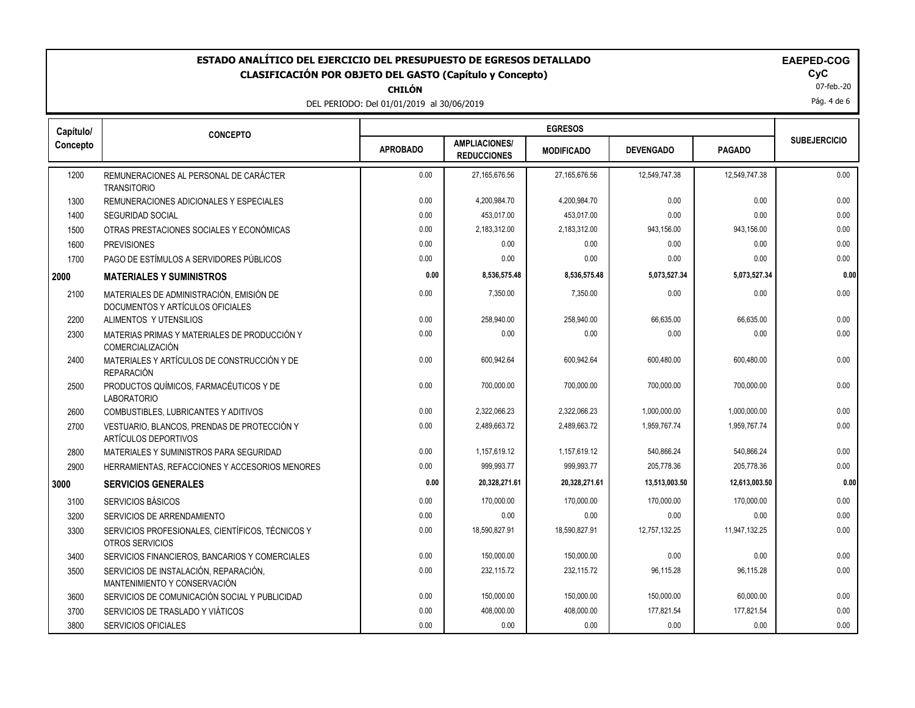**CHILÓN**

DEL PERIODO: Del 01/01/2019 al 30/06/2019

| <b>EAEPED-CO</b> |  |  |
|------------------|--|--|
|------------------|--|--|

07-feb.-20

Pág. 4 de 6

| Capítulo/ | <b>CONCEPTO</b>                                                              |                 | <b>EGRESOS</b>                             |                   |                  |               |                     |  |
|-----------|------------------------------------------------------------------------------|-----------------|--------------------------------------------|-------------------|------------------|---------------|---------------------|--|
| Concepto  |                                                                              | <b>APROBADO</b> | <b>AMPLIACIONES/</b><br><b>REDUCCIONES</b> | <b>MODIFICADO</b> | <b>DEVENGADO</b> | <b>PAGADO</b> | <b>SUBEJERCICIO</b> |  |
| 1200      | REMUNERACIONES AL PERSONAL DE CARÁCTER<br><b>TRANSITORIO</b>                 | 0.00            | 27,165,676.56                              | 27,165,676.56     | 12,549,747.38    | 12,549,747.38 | 0.00                |  |
| 1300      | REMUNERACIONES ADICIONALES Y ESPECIALES                                      | 0.00            | 4,200,984.70                               | 4,200,984.70      | 0.00             | 0.00          | 0.00                |  |
| 1400      | SEGURIDAD SOCIAL                                                             | 0.00            | 453,017.00                                 | 453,017.00        | 0.00             | 0.00          | 0.00                |  |
| 1500      | OTRAS PRESTACIONES SOCIALES Y ECONÓMICAS                                     | 0.00            | 2,183,312.00                               | 2,183,312.00      | 943,156.00       | 943,156.00    | 0.00                |  |
| 1600      | <b>PREVISIONES</b>                                                           | 0.00            | 0.00                                       | 0.00              | 0.00             | 0.00          | 0.00                |  |
| 1700      | PAGO DE ESTÍMULOS A SERVIDORES PÚBLICOS                                      | 0.00            | 0.00                                       | 0.00              | 0.00             | 0.00          | 0.00                |  |
| 2000      | <b>MATERIALES Y SUMINISTROS</b>                                              | 0.00            | 8,536,575.48                               | 8,536,575.48      | 5,073,527.34     | 5,073,527.34  | 0.00                |  |
| 2100      | MATERIALES DE ADMINISTRACIÓN. EMISIÓN DE<br>DOCUMENTOS Y ARTÍCULOS OFICIALES | 0.00            | 7,350.00                                   | 7.350.00          | 0.00             | 0.00          | 0.00                |  |
| 2200      | ALIMENTOS Y UTENSILIOS                                                       | 0.00            | 258,940.00                                 | 258,940.00        | 66,635.00        | 66,635.00     | 0.00                |  |
| 2300      | MATERIAS PRIMAS Y MATERIALES DE PRODUCCIÓN Y<br><b>COMERCIALIZACIÓN</b>      | 0.00            | 0.00                                       | 0.00              | 0.00             | 0.00          | 0.00                |  |
| 2400      | MATERIALES Y ARTÍCULOS DE CONSTRUCCIÓN Y DE<br><b>REPARACIÓN</b>             | 0.00            | 600.942.64                                 | 600.942.64        | 600,480.00       | 600,480.00    | 0.00                |  |
| 2500      | PRODUCTOS QUÍMICOS, FARMACÉUTICOS Y DE<br><b>LABORATORIO</b>                 | 0.00            | 700,000.00                                 | 700,000.00        | 700,000.00       | 700,000.00    | 0.00                |  |
| 2600      | COMBUSTIBLES, LUBRICANTES Y ADITIVOS                                         | 0.00            | 2,322,066.23                               | 2,322,066.23      | 1,000,000.00     | 1,000,000.00  | 0.00                |  |
| 2700      | VESTUARIO, BLANCOS, PRENDAS DE PROTECCIÓN Y<br>ARTÍCULOS DEPORTIVOS          | 0.00            | 2,489,663.72                               | 2,489,663.72      | 1,959,767.74     | 1,959,767.74  | 0.00                |  |
| 2800      | MATERIALES Y SUMINISTROS PARA SEGURIDAD                                      | 0.00            | 1,157,619.12                               | 1,157,619.12      | 540,866.24       | 540,866.24    | 0.00                |  |
| 2900      | HERRAMIENTAS, REFACCIONES Y ACCESORIOS MENORES                               | 0.00            | 999.993.77                                 | 999.993.77        | 205,778.36       | 205,778.36    | 0.00                |  |
| 3000      | <b>SERVICIOS GENERALES</b>                                                   | 0.00            | 20,328,271.61                              | 20.328.271.61     | 13.513.003.50    | 12,613,003.50 | 0.00                |  |
| 3100      | SERVICIOS BÁSICOS                                                            | 0.00            | 170,000.00                                 | 170.000.00        | 170,000.00       | 170.000.00    | 0.00                |  |
| 3200      | SERVICIOS DE ARRENDAMIENTO                                                   | 0.00            | 0.00                                       | 0.00              | 0.00             | 0.00          | 0.00                |  |
| 3300      | SERVICIOS PROFESIONALES, CIENTÍFICOS, TÉCNICOS Y<br>OTROS SERVICIOS          | 0.00            | 18,590,827.91                              | 18,590,827.91     | 12,757,132.25    | 11,947,132.25 | 0.00                |  |
| 3400      | SERVICIOS FINANCIEROS, BANCARIOS Y COMERCIALES                               | 0.00            | 150,000.00                                 | 150,000.00        | 0.00             | 0.00          | 0.00                |  |
| 3500      | SERVICIOS DE INSTALACIÓN, REPARACIÓN,<br>MANTENIMIENTO Y CONSERVACIÓN        | 0.00            | 232,115.72                                 | 232,115.72        | 96,115.28        | 96,115.28     | 0.00                |  |
| 3600      | SERVICIOS DE COMUNICACIÓN SOCIAL Y PUBLICIDAD                                | 0.00            | 150,000.00                                 | 150,000.00        | 150,000.00       | 60,000.00     | 0.00                |  |
| 3700      | SERVICIOS DE TRASLADO Y VIÁTICOS                                             | 0.00            | 408,000.00                                 | 408,000.00        | 177,821.54       | 177,821.54    | 0.00                |  |
| 3800      | <b>SERVICIOS OFICIALES</b>                                                   | 0.00            | 0.00                                       | 0.00              | 0.00             | 0.00          | 0.00                |  |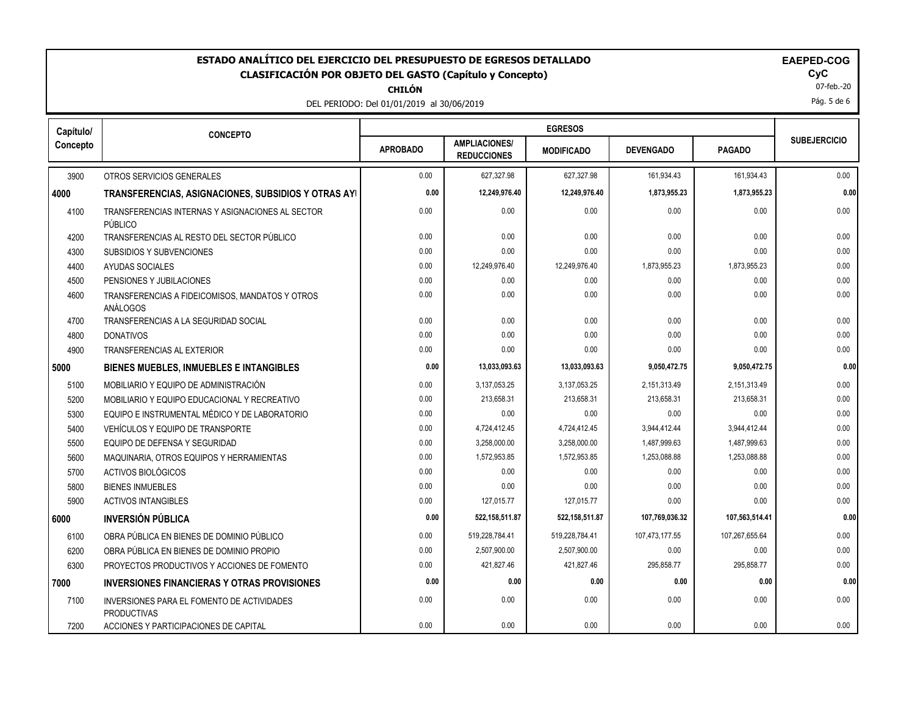**CHILÓN**

DEL PERIODO: Del 01/01/2019 al 30/06/2019

| <b>AEPED-COG</b> |
|------------------|
|------------------|

 $\mathbf{Cyc}$ <br> $07$ -feb.-20

Pág. 5 de 6

| Capítulo/ | <b>CONCEPTO</b>                                                  |      |                                            | <b>EGRESOS</b>    |                  |                |                     |  |
|-----------|------------------------------------------------------------------|------|--------------------------------------------|-------------------|------------------|----------------|---------------------|--|
| Concepto  |                                                                  |      | <b>AMPLIACIONES/</b><br><b>REDUCCIONES</b> | <b>MODIFICADO</b> | <b>DEVENGADO</b> | <b>PAGADO</b>  | <b>SUBEJERCICIO</b> |  |
| 3900      | OTROS SERVICIOS GENERALES                                        | 0.00 | 627,327.98                                 | 627,327.98        | 161,934.43       | 161,934.43     | 0.00                |  |
| 4000      | TRANSFERENCIAS, ASIGNACIONES, SUBSIDIOS Y OTRAS AYI              | 0.00 | 12,249,976.40                              | 12,249,976.40     | 1,873,955.23     | 1,873,955.23   | 0.00                |  |
| 4100      | TRANSFERENCIAS INTERNAS Y ASIGNACIONES AL SECTOR<br>PÚBLICO      | 0.00 | 0.00                                       | 0.00              | 0.00             | 0.00           | 0.00                |  |
| 4200      | TRANSFERENCIAS AL RESTO DEL SECTOR PÚBLICO                       | 0.00 | 0.00                                       | 0.00              | 0.00             | 0.00           | 0.00                |  |
| 4300      | SUBSIDIOS Y SUBVENCIONES                                         | 0.00 | 0.00                                       | 0.00              | 0.00             | 0.00           | 0.00                |  |
| 4400      | AYUDAS SOCIALES                                                  | 0.00 | 12,249,976.40                              | 12,249,976.40     | 1,873,955.23     | 1,873,955.23   | 0.00                |  |
| 4500      | PENSIONES Y JUBILACIONES                                         | 0.00 | 0.00                                       | 0.00              | 0.00             | 0.00           | 0.00                |  |
| 4600      | TRANSFERENCIAS A FIDEICOMISOS, MANDATOS Y OTROS<br>ANÁLOGOS      | 0.00 | 0.00                                       | 0.00              | 0.00             | 0.00           | 0.00                |  |
| 4700      | TRANSFERENCIAS A LA SEGURIDAD SOCIAL                             | 0.00 | 0.00                                       | 0.00              | 0.00             | 0.00           | 0.00                |  |
| 4800      | <b>DONATIVOS</b>                                                 | 0.00 | 0.00                                       | 0.00              | 0.00             | 0.00           | 0.00                |  |
| 4900      | TRANSFERENCIAS AL EXTERIOR                                       | 0.00 | 0.00                                       | 0.00              | 0.00             | 0.00           | 0.00                |  |
| 5000      | BIENES MUEBLES, INMUEBLES E INTANGIBLES                          | 0.00 | 13,033,093.63                              | 13,033,093.63     | 9,050,472.75     | 9,050,472.75   | 0.00                |  |
| 5100      | MOBILIARIO Y EQUIPO DE ADMINISTRACIÓN                            | 0.00 | 3,137,053.25                               | 3,137,053.25      | 2,151,313.49     | 2,151,313.49   | 0.00                |  |
| 5200      | MOBILIARIO Y EQUIPO EDUCACIONAL Y RECREATIVO                     | 0.00 | 213,658.31                                 | 213,658.31        | 213,658.31       | 213,658.31     | 0.00                |  |
| 5300      | EQUIPO E INSTRUMENTAL MÉDICO Y DE LABORATORIO                    | 0.00 | 0.00                                       | 0.00              | 0.00             | 0.00           | 0.00                |  |
| 5400      | VEHÍCULOS Y EQUIPO DE TRANSPORTE                                 | 0.00 | 4,724,412.45                               | 4,724,412.45      | 3,944,412.44     | 3,944,412.44   | 0.00                |  |
| 5500      | EQUIPO DE DEFENSA Y SEGURIDAD                                    | 0.00 | 3,258,000.00                               | 3,258,000.00      | 1,487,999.63     | 1,487,999.63   | 0.00                |  |
| 5600      | MAQUINARIA, OTROS EQUIPOS Y HERRAMIENTAS                         | 0.00 | 1,572,953.85                               | 1,572,953.85      | 1,253,088.88     | 1,253,088.88   | 0.00                |  |
| 5700      | <b>ACTIVOS BIOLÓGICOS</b>                                        | 0.00 | 0.00                                       | 0.00              | 0.00             | 0.00           | 0.00                |  |
| 5800      | <b>BIENES INMUEBLES</b>                                          | 0.00 | 0.00                                       | 0.00              | 0.00             | 0.00           | 0.00                |  |
| 5900      | <b>ACTIVOS INTANGIBLES</b>                                       | 0.00 | 127,015.77                                 | 127,015.77        | 0.00             | 0.00           | 0.00                |  |
| 6000      | <b>INVERSIÓN PÚBLICA</b>                                         | 0.00 | 522,158,511.87                             | 522,158,511.87    | 107,769,036.32   | 107,563,514.41 | 0.00                |  |
| 6100      | OBRA PÚBLICA EN BIENES DE DOMINIO PÚBLICO                        | 0.00 | 519,228,784.41                             | 519,228,784.41    | 107,473,177.55   | 107,267,655.64 | 0.00                |  |
| 6200      | OBRA PÚBLICA EN BIENES DE DOMINIO PROPIO                         | 0.00 | 2,507,900.00                               | 2,507,900.00      | 0.00             | 0.00           | 0.00                |  |
| 6300      | PROYECTOS PRODUCTIVOS Y ACCIONES DE FOMENTO                      | 0.00 | 421,827.46                                 | 421,827.46        | 295,858.77       | 295,858.77     | 0.00                |  |
| 7000      | <b>INVERSIONES FINANCIERAS Y OTRAS PROVISIONES</b>               | 0.00 | 0.00                                       | 0.00              | 0.00             | 0.00           | 0.00                |  |
| 7100      | INVERSIONES PARA EL FOMENTO DE ACTIVIDADES<br><b>PRODUCTIVAS</b> | 0.00 | 0.00                                       | 0.00              | 0.00             | 0.00           | 0.00                |  |
| 7200      | ACCIONES Y PARTICIPACIONES DE CAPITAL                            | 0.00 | 0.00                                       | 0.00              | 0.00             | 0.00           | 0.00                |  |